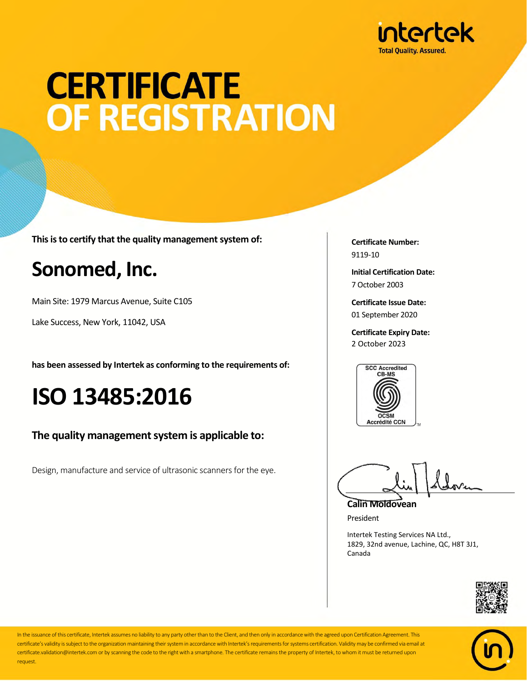

# **CERTIFICATE** OF REGISTRATION

**This is to certify that the quality management system of:**

### **Sonomed, Inc.**

Main Site: 1979 Marcus Avenue, Suite C105

Lake Success, New York, 11042, USA

**has been assessed by Intertek as conforming to the requirements of:**

## **ISO 13485:2016**

#### **The quality management system is applicable to:**

Design, manufacture and service of ultrasonic scanners for the eye.

**Certificate Number:** 9119-10

**Initial Certification Date:** 7 October 2003

**Certificate Issue Date:** 01 September 2020

**Certificate Expiry Date:** 2 October 2023



**Calin Moldovean**

President

Intertek Testing Services NA Ltd., 1829, 32nd avenue, Lachine, QC, H8T 3J1, Canada





In the issuance of this certificate, Intertek assumes no liability to any party other than to the Client, and then only in accordance with the agreed upon Certification Agreement. This certificate's validity is subject to the organization maintaining their system in accordance with Intertek's requirements for systems certification. Validity may be confirmed via email at certificate.validation@intertek.com or by scanning the code to the right with a smartphone. The certificate remains the property of Intertek, to whom it must be returned upon request.